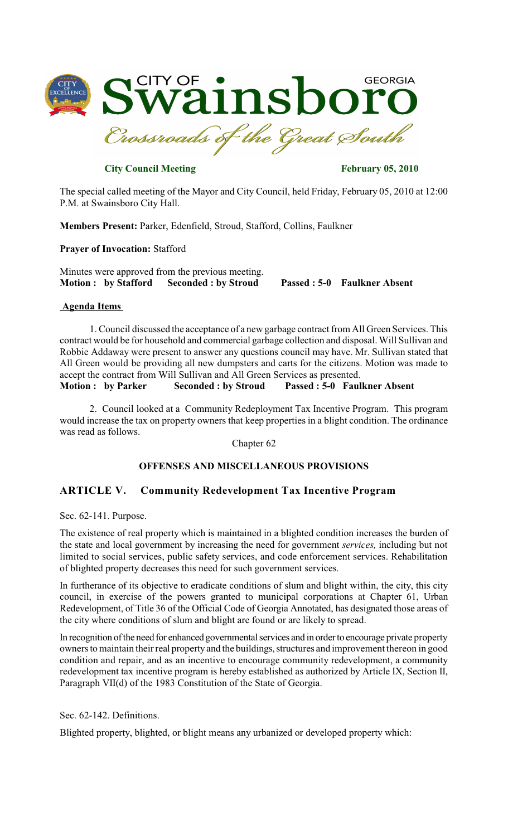

**City Council Meeting February 05, 2010** 

The special called meeting of the Mayor and City Council, held Friday, February 05, 2010 at 12:00 P.M. at Swainsboro City Hall.

**Members Present:** Parker, Edenfield, Stroud, Stafford, Collins, Faulkner

**Prayer of Invocation:** Stafford

Minutes were approved from the previous meeting. **Motion : by Stafford Seconded : by Stroud Passed : 5-0 Faulkner Absent**

## **Agenda Items**

1. Council discussed the acceptance of a new garbage contract from All Green Services. This contract would be for household and commercial garbage collection and disposal. Will Sullivan and Robbie Addaway were present to answer any questions council may have. Mr. Sullivan stated that All Green would be providing all new dumpsters and carts for the citizens. Motion was made to accept the contract from Will Sullivan and All Green Services as presented.<br> **Motion:** by Parker Seconded: by Stroud Passed: 5-0 Faul

**Motion Seconded : by Stroud Passed : 5-0 Faulkner Absent** 

2. Council looked at a Community Redeployment Tax Incentive Program. This program would increase the tax on property owners that keep properties in a blight condition. The ordinance was read as follows.

Chapter 62

## **OFFENSES AND MISCELLANEOUS PROVISIONS**

## **ARTICLE V. Community Redevelopment Tax Incentive Program**

Sec. 62-141. Purpose.

The existence of real property which is maintained in a blighted condition increases the burden of the state and local government by increasing the need for government *services,* including but not limited to social services, public safety services, and code enforcement services. Rehabilitation of blighted property decreases this need for such government services.

In furtherance of its objective to eradicate conditions of slum and blight within, the city, this city council, in exercise of the powers granted to municipal corporations at Chapter 61, Urban Redevelopment, of Title 36 of the Official Code of Georgia Annotated, has designated those areas of the city where conditions of slum and blight are found or are likely to spread.

In recognition of the need for enhanced governmental services and in order to encourage private property owners to maintain their real property and the buildings, structures and improvement thereon in good condition and repair, and as an incentive to encourage community redevelopment, a community redevelopment tax incentive program is hereby established as authorized by Article IX, Section II, Paragraph VII(d) of the 1983 Constitution of the State of Georgia.

Sec. 62-142. Definitions.

Blighted property, blighted, or blight means any urbanized or developed property which: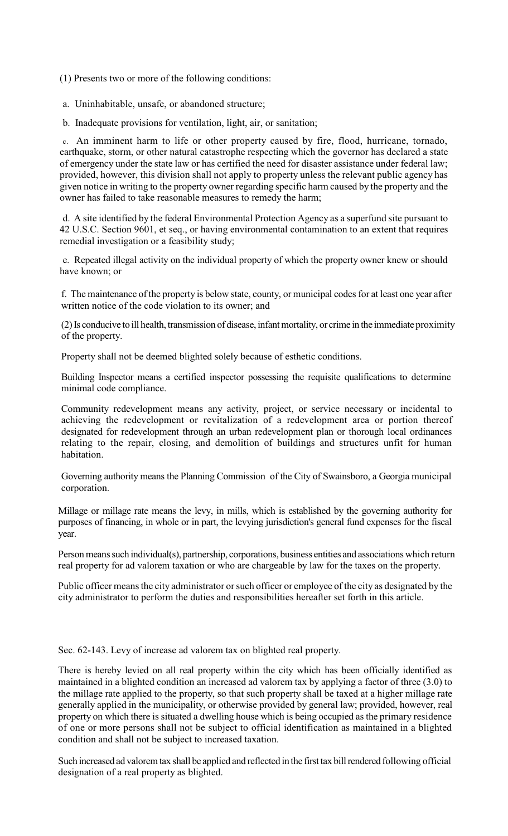(1) Presents two or more of the following conditions:

a. Uninhabitable, unsafe, or abandoned structure;

b. Inadequate provisions for ventilation, light, air, or sanitation;

c. An imminent harm to life or other property caused by fire, flood, hurricane, tornado, earthquake, storm, or other natural catastrophe respecting which the governor has declared a state of emergency under the state law or has certified the need for disaster assistance under federal law; provided, however, this division shall not apply to property unless the relevant public agency has given notice in writing to the property owner regarding specific harm caused by the property and the owner has failed to take reasonable measures to remedy the harm;

d. A site identified by the federal Environmental Protection Agency as a superfund site pursuant to 42 U.S.C. Section 9601, et seq., or having environmental contamination to an extent that requires remedial investigation or a feasibility study;

e. Repeated illegal activity on the individual property of which the property owner knew or should have known; or

f. The maintenance of the property is below state, county, or municipal codesfor at least one year after written notice of the code violation to its owner; and

(2)Is conducive to ill health, transmission of disease, infantmortality, or crime in the immediate proximity of the property.

Property shall not be deemed blighted solely because of esthetic conditions.

Building Inspector means a certified inspector possessing the requisite qualifications to determine minimal code compliance.

Community redevelopment means any activity, project, or service necessary or incidental to achieving the redevelopment or revitalization of a redevelopment area or portion thereof designated for redevelopment through an urban redevelopment plan or thorough local ordinances relating to the repair, closing, and demolition of buildings and structures unfit for human habitation.

Governing authority means the Planning Commission of the City of Swainsboro, a Georgia municipal corporation.

Millage or millage rate means the levy, in mills, which is established by the governing authority for purposes of financing, in whole or in part, the levying jurisdiction's general fund expenses for the fiscal year.

Person means such individual(s), partnership, corporations, business entities and associations which return real property for ad valorem taxation or who are chargeable by law for the taxes on the property.

Public officer means the city administrator or such officer or employee of the city as designated by the city administrator to perform the duties and responsibilities hereafter set forth in this article.

Sec. 62-143. Levy of increase ad valorem tax on blighted real property.

There is hereby levied on all real property within the city which has been officially identified as maintained in a blighted condition an increased ad valorem tax by applying a factor of three (3.0) to the millage rate applied to the property, so that such property shall be taxed at a higher millage rate generally applied in the municipality, or otherwise provided by general law; provided, however, real property on which there is situated a dwelling house which is being occupied as the primary residence of one or more persons shall not be subject to official identification as maintained in a blighted condition and shall not be subject to increased taxation.

Such increased ad valorem tax shall be applied and reflected in the first tax bill rendered following official designation of a real property as blighted.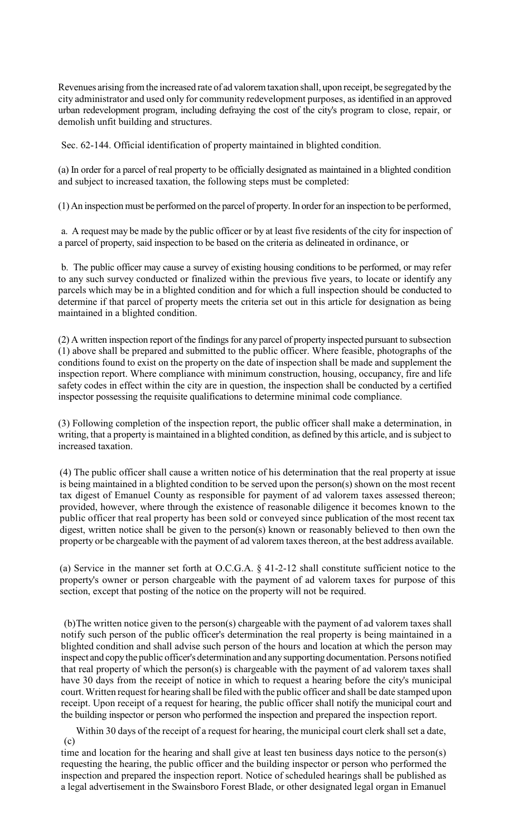Revenues arising from the increased rate of ad valorem taxation shall, upon receipt, be segregated by the city administrator and used only for community redevelopment purposes, as identified in an approved urban redevelopment program, including defraying the cost of the city's program to close, repair, or demolish unfit building and structures.

Sec. 62-144. Official identification of property maintained in blighted condition.

(a) In order for a parcel of real property to be officially designated as maintained in a blighted condition and subject to increased taxation, the following steps must be completed:

 $(1)$  An inspection must be performed on the parcel of property. In order for an inspection to be performed,

a. A request may be made by the public officer or by at least five residents of the city for inspection of a parcel of property, said inspection to be based on the criteria as delineated in ordinance, or

b. The public officer may cause a survey of existing housing conditions to be performed, or may refer to any such survey conducted or finalized within the previous five years, to locate or identify any parcels which may be in a blighted condition and for which a full inspection should be conducted to determine if that parcel of property meets the criteria set out in this article for designation as being maintained in a blighted condition.

(2) A written inspection report of the findings for any parcel of property inspected pursuant to subsection (1) above shall be prepared and submitted to the public officer. Where feasible, photographs of the conditions found to exist on the property on the date of inspection shall be made and supplement the inspection report. Where compliance with minimum construction, housing, occupancy, fire and life safety codes in effect within the city are in question, the inspection shall be conducted by a certified inspector possessing the requisite qualifications to determine minimal code compliance.

(3) Following completion of the inspection report, the public officer shall make a determination, in writing, that a property is maintained in a blighted condition, as defined by this article, and is subject to increased taxation.

(4) The public officer shall cause a written notice of his determination that the real property at issue is being maintained in a blighted condition to be served upon the person(s) shown on the most recent tax digest of Emanuel County as responsible for payment of ad valorem taxes assessed thereon; provided, however, where through the existence of reasonable diligence it becomes known to the public officer that real property has been sold or conveyed since publication of the most recent tax digest, written notice shall be given to the person(s) known or reasonably believed to then own the property or be chargeable with the payment of ad valorem taxes thereon, at the best address available.

(a) Service in the manner set forth at O.C.G.A. § 41-2-12 shall constitute sufficient notice to the property's owner or person chargeable with the payment of ad valorem taxes for purpose of this section, except that posting of the notice on the property will not be required.

(b)The written notice given to the person(s) chargeable with the payment of ad valorem taxes shall notify such person of the public officer's determination the real property is being maintained in a blighted condition and shall advise such person of the hours and location at which the person may inspect and copy the public officer's determination and any supporting documentation. Persons notified that real property of which the person(s) is chargeable with the payment of ad valorem taxes shall have 30 days from the receipt of notice in which to request a hearing before the city's municipal court. Written request for hearing shall be filed with the public officer and shall be date stamped upon receipt. Upon receipt of a request for hearing, the public officer shall notify the municipal court and the building inspector or person who performed the inspection and prepared the inspection report.

(c) Within 30 days of the receipt of a request for hearing, the municipal court clerk shall set a date,

time and location for the hearing and shall give at least ten business days notice to the person(s) requesting the hearing, the public officer and the building inspector or person who performed the inspection and prepared the inspection report. Notice of scheduled hearings shall be published as a legal advertisement in the Swainsboro Forest Blade, or other designated legal organ in Emanuel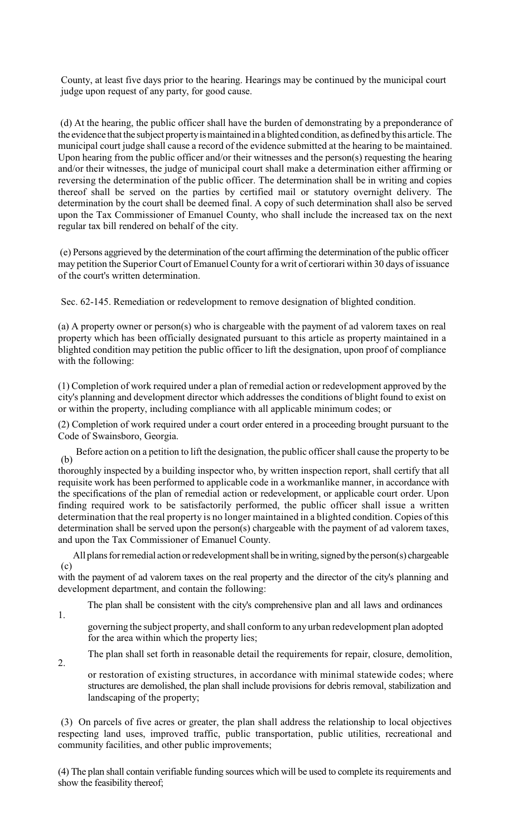County, at least five days prior to the hearing. Hearings may be continued by the municipal court judge upon request of any party, for good cause.

(d) At the hearing, the public officer shall have the burden of demonstrating by a preponderance of the evidence that the subject propertyismaintained in a blighted condition, as defined bythis article. The municipal court judge shall cause a record of the evidence submitted at the hearing to be maintained. Upon hearing from the public officer and/or their witnesses and the person(s) requesting the hearing and/or their witnesses, the judge of municipal court shall make a determination either affirming or reversing the determination of the public officer. The determination shall be in writing and copies thereof shall be served on the parties by certified mail or statutory overnight delivery. The determination by the court shall be deemed final. A copy of such determination shall also be served upon the Tax Commissioner of Emanuel County, who shall include the increased tax on the next regular tax bill rendered on behalf of the city.

(e) Persons aggrieved by the determination of the court affirming the determination of the public officer may petition the Superior Court of Emanuel County for a writ of certiorari within 30 days of issuance of the court's written determination.

Sec. 62-145. Remediation or redevelopment to remove designation of blighted condition.

(a) A property owner or person(s) who is chargeable with the payment of ad valorem taxes on real property which has been officially designated pursuant to this article as property maintained in a blighted condition may petition the public officer to lift the designation, upon proof of compliance with the following:

(1) Completion of work required under a plan of remedial action or redevelopment approved by the city's planning and development director which addresses the conditions of blight found to exist on or within the property, including compliance with all applicable minimum codes; or

(2) Completion of work required under a court order entered in a proceeding brought pursuant to the Code of Swainsboro, Georgia.

(b) Before action on a petition to lift the designation, the public officer shall cause the property to be

thoroughly inspected by a building inspector who, by written inspection report, shall certify that all requisite work has been performed to applicable code in a workmanlike manner, in accordance with the specifications of the plan of remedial action or redevelopment, or applicable court order. Upon finding required work to be satisfactorily performed, the public officer shall issue a written determination that the real property is no longer maintained in a blighted condition. Copies of this determination shall be served upon the person(s) chargeable with the payment of ad valorem taxes, and upon the Tax Commissioner of Emanuel County.

(c) All plans for remedial action or redevelopment shall be in writing, signed by the person(s) chargeable

with the payment of ad valorem taxes on the real property and the director of the city's planning and development department, and contain the following:

The plan shall be consistent with the city's comprehensive plan and all laws and ordinances

1.

governing the subject property, and shall conform to any urban redevelopment plan adopted for the area within which the property lies;

The plan shall set forth in reasonable detail the requirements for repair, closure, demolition,

2.

or restoration of existing structures, in accordance with minimal statewide codes; where structures are demolished, the plan shall include provisions for debris removal, stabilization and landscaping of the property;

(3) On parcels of five acres or greater, the plan shall address the relationship to local objectives respecting land uses, improved traffic, public transportation, public utilities, recreational and community facilities, and other public improvements;

(4) The plan shall contain verifiable funding sources which will be used to complete itsrequirements and show the feasibility thereof;